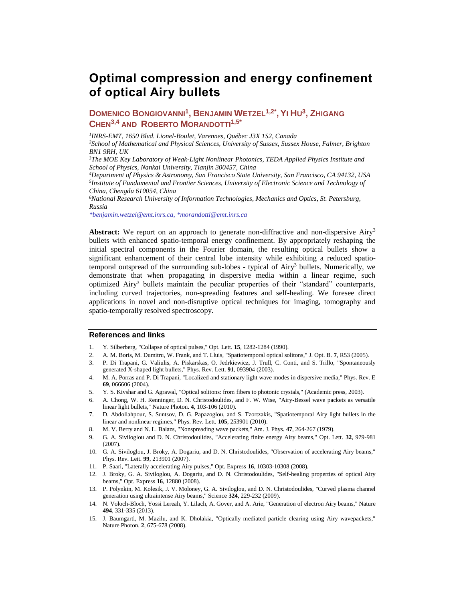# **Optimal compression and energy confinement of optical Airy bullets**

## **DOMENICO BONGIOVANNI<sup>1</sup> , BENJAMIN WETZEL1,2\* ,YI HU 3 , ZHIGANG CHEN3,4 AND ROBERTO MORANDOTTI1,5\***

*1 INRS-EMT, 1650 Blvd. Lionel-Boulet, Varennes, Québec J3X 1S2, Canada*

*<sup>2</sup>School of Mathematical and Physical Sciences, University of Sussex, Sussex House, Falmer, Brighton BN1 9RH, UK*

*<sup>3</sup>The MOE Key Laboratory of Weak-Light Nonlinear Photonics, TEDA Applied Physics Institute and School of Physics, Nankai University, Tianjin 300457, China*

*<sup>4</sup>Department of Physics & Astronomy, San Francisco State University, San Francisco, CA 94132, USA 5 Institute of Fundamental and Frontier Sciences, University of Electronic Science and Technology of China, Chengdu 610054, China*

*<sup>6</sup>National Research University of Information Technologies, Mechanics and Optics, St. Petersburg, Russia*

*\*benjamin.wetzel@emt.inrs.ca, \*morandotti@emt.inrs.ca*

**Abstract:** We report on an approach to generate non-diffractive and non-dispersive Airy<sup>3</sup> bullets with enhanced spatio-temporal energy confinement. By appropriately reshaping the initial spectral components in the Fourier domain, the resulting optical bullets show a significant enhancement of their central lobe intensity while exhibiting a reduced spatiotemporal outspread of the surrounding sub-lobes - typical of Airy<sup>3</sup> bullets. Numerically, we demonstrate that when propagating in dispersive media within a linear regime, such optimized Airy<sup>3</sup> bullets maintain the peculiar properties of their "standard" counterparts, including curved trajectories, non-spreading features and self-healing. We foresee direct applications in novel and non-disruptive optical techniques for imaging, tomography and spatio-temporally resolved spectroscopy.

#### **References and links**

- 1. Y. Silberberg, "Collapse of optical pulses," Opt. Lett. **15**, 1282-1284 (1990).
- 2. A. M. Boris, M. Dumitru, W. Frank, and T. Lluis, "Spatiotemporal optical solitons," J. Opt. B. **7**, R53 (2005).
- 3. P. Di Trapani, G. Valiulis, A. Piskarskas, O. Jedrkiewicz, J. Trull, C. Conti, and S. Trillo, "Spontaneously generated X-shaped light bullets," Phys. Rev. Lett. **91**, 093904 (2003).
- 4. M. A. Porras and P. Di Trapani, "Localized and stationary light wave modes in dispersive media," Phys. Rev. E **69**, 066606 (2004).
- 5. Y. S. Kivshar and G. Agrawal, "Optical solitons: from fibers to photonic crystals," (Academic press, 2003).
- 6. A. Chong, W. H. Renninger, D. N. Christodoulides, and F. W. Wise, "Airy-Bessel wave packets as versatile linear light bullets," Nature Photon. **4**, 103-106 (2010).
- 7. D. Abdollahpour, S. Suntsov, D. G. Papazoglou, and S. Tzortzakis, "Spatiotemporal Airy light bullets in the linear and nonlinear regimes," Phys. Rev. Lett. **105**, 253901 (2010).
- 8. M. V. Berry and N. L. Balazs, "Nonspreading wave packets," Am. J. Phys. **47**, 264-267 (1979).
- 9. G. A. Siviloglou and D. N. Christodoulides, "Accelerating finite energy Airy beams," Opt. Lett. **32**, 979-981 (2007).
- 10. G. A. Siviloglou, J. Broky, A. Dogariu, and D. N. Christodoulides, "Observation of accelerating Airy beams," Phys. Rev. Lett. **99**, 213901 (2007).
- 11. P. Saari, "Laterally accelerating Airy pulses," Opt. Express **16**, 10303-10308 (2008).
- 12. J. Broky, G. A. Siviloglou, A. Dogariu, and D. N. Christodoulides, "Self-healing properties of optical Airy beams," Opt. Express **16**, 12880 (2008).
- 13. P. Polynkin, M. Kolesik, J. V. Moloney, G. A. Siviloglou, and D. N. Christodoulides, "Curved plasma channel generation using ultraintense Airy beams," Science **324**, 229-232 (2009).
- 14. N. Voloch-Bloch, Yossi Lereah, Y. Lilach, A. Gover, and A. Arie, "Generation of electron Airy beams," Nature **494**, 331-335 (2013).
- 15. J. Baumgartl, M. Mazilu, and K. Dholakia, "Optically mediated particle clearing using Airy wavepackets," Nature Photon. **2**, 675-678 (2008).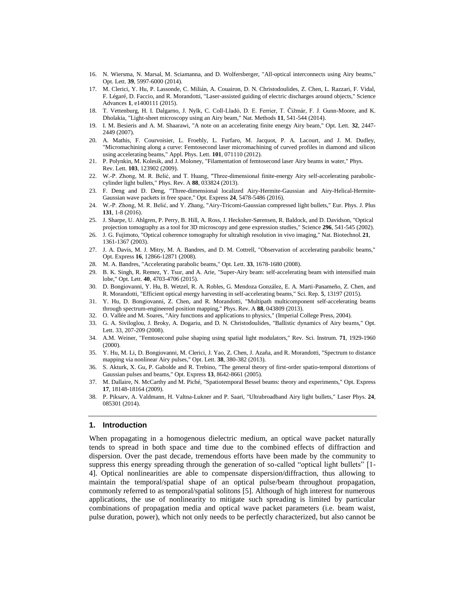- 16. N. Wiersma, N. Marsal, M. Sciamanna, and D. Wolfersberger, "All-optical interconnects using Airy beams," Opt. Lett. **39**, 5997-6000 (2014).
- 17. M. Clerici, Y. Hu, P. Lassonde, C. Milián, A. Couairon, D. N. Christodoulides, Z. Chen, L. Razzari, F. Vidal, F. Légaré, D. Faccio, and R. Morandotti, "Laser-assisted guiding of electric discharges around objects," Science Advances **1**, e1400111 (2015).
- 18. T. Vettenburg, H. I. Dalgarno, J. Nylk, C. Coll-Lladó, D. E. Ferrier, T. Čižmár, F. J. Gunn-Moore, and K. Dholakia, "Light-sheet microscopy using an Airy beam," Nat. Methods **11**, 541-544 (2014).
- 19. I. M. Besieris and A. M. Shaarawi, "A note on an accelerating finite energy Airy beam," Opt. Lett. **32**, 2447- 2449 (2007).
- 20. A. Mathis, F. Courvoisier, L. Froehly, L. Furfaro, M. Jacquot, P. A. Lacourt, and J. M. Dudley, "Micromachining along a curve: Femtosecond laser micromachining of curved profiles in diamond and silicon using accelerating beams," Appl. Phys. Lett. **101**, 071110 (2012).
- 21. P. Polynkin, M. Kolesik, and J. Moloney, "Filamentation of femtosecond laser Airy beams in water," Phys. Rev. Lett. **103**, 123902 (2009).
- 22. W.-P. Zhong, M. R. Belić, and T. Huang, "Three-dimensional finite-energy Airy self-accelerating paraboliccylinder light bullets," Phys. Rev. A **88**, 033824 (2013).
- 23. F. Deng and D. Deng, "Three-dimensional localized Airy-Hermite-Gaussian and Airy-Helical-Hermite-Gaussian wave packets in free space," Opt. Express **24**, 5478-5486 (2016).
- 24. W.-P. Zhong, M. R. Belić, and Y. Zhang, "Airy-Tricomi-Gaussian compressed light bullets," Eur. Phys. J. Plus **131**, 1-8 (2016).
- 25. J. Sharpe, U. Ahlgren, P. Perry, B. Hill, A. Ross, J. Hecksher-Sørensen, R. Baldock, and D. Davidson, "Optical projection tomography as a tool for 3D microscopy and gene expression studies," Science **296**, 541-545 (2002).
- 26. J. G. Fujimoto, "Optical coherence tomography for ultrahigh resolution in vivo imaging," Nat. Biotechnol. **21**, 1361-1367 (2003).
- 27. J. A. Davis, M. J. Mitry, M. A. Bandres, and D. M. Cottrell, "Observation of accelerating parabolic beams," Opt. Express **16**, 12866-12871 (2008).
- 28. M. A. Bandres, "Accelerating parabolic beams," Opt. Lett. **33**, 1678-1680 (2008).
- 29. B. K. Singh, R. Remez, Y. Tsur, and A. Arie, "Super-Airy beam: self-accelerating beam with intensified main lobe," Opt. Lett. **40**, 4703-4706 (2015).
- 30. D. Bongiovanni, Y. Hu, B. Wetzel, R. A. Robles, G. Mendoza González, E. A. Marti-Panameño, Z. Chen, and R. Morandotti, "Efficient optical energy harvesting in self-accelerating beams," Sci. Rep. **5**, 13197 (2015).
- 31. Y. Hu, D. Bongiovanni, Z. Chen, and R. Morandotti, "Multipath multicomponent self-accelerating beams through spectrum-engineered position mapping," Phys. Rev. A **88**, 043809 (2013).
- 32. O. Vallée and M. Soares, "Airy functions and applications to physics," (Imperial College Press, 2004).
- 33. G. A. Siviloglou, J. Broky, A. Dogariu, and D. N. Christodoulides, "Ballistic dynamics of Airy beams," Opt. Lett. 33, 207-209 (2008).
- 34. A.M. Weiner, "Femtosecond pulse shaping using spatial light modulators," Rev. Sci. Instrum. **71**, 1929-1960 (2000).
- 35. Y. Hu, M. Li, D. Bongiovanni, M. Clerici, J. Yao, Z. Chen, J. Azaña, and R. Morandotti, "Spectrum to distance mapping via nonlinear Airy pulses," Opt. Lett. **38**, 380-382 (2013).
- 36. S. Akturk, X. Gu, P. Gabolde and R. Trebino, "The general theory of first-order spatio-temporal distortions of Gaussian pulses and beams," Opt. Express **13**, 8642-8661 (2005).
- 37. M. Dallaire, N. McCarthy and M. Piché, "Spatiotemporal Bessel beams: theory and experiments," Opt. Express **17**, 18148-18164 (2009).
- 38. P. Piksarv, A. Valdmann, H. Valtna-Lukner and P. Saari, "Ultrabroadband Airy light bullets," Laser Phys. **24**, 085301 (2014).

#### **1. Introduction**

When propagating in a homogenous dielectric medium, an optical wave packet naturally tends to spread in both space and time due to the combined effects of diffraction and dispersion. Over the past decade, tremendous efforts have been made by the community to suppress this energy spreading through the generation of so-called "optical light bullets" [1- 4]. Optical nonlinearities are able to compensate dispersion/diffraction, thus allowing to maintain the temporal/spatial shape of an optical pulse/beam throughout propagation, commonly referred to as temporal/spatial solitons [5]. Although of high interest for numerous applications, the use of nonlinearity to mitigate such spreading is limited by particular combinations of propagation media and optical wave packet parameters (i.e. beam waist, pulse duration, power), which not only needs to be perfectly characterized, but also cannot be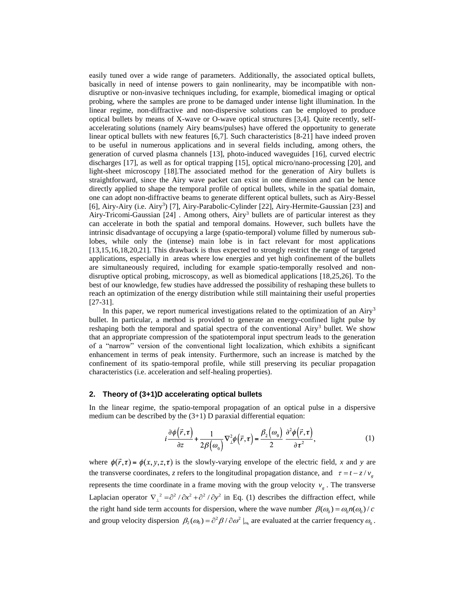easily tuned over a wide range of parameters. Additionally, the associated optical bullets, basically in need of intense powers to gain nonlinearity, may be incompatible with nondisruptive or non-invasive techniques including, for example, biomedical imaging or optical probing, where the samples are prone to be damaged under intense light illumination. In the linear regime, non-diffractive and non-dispersive solutions can be employed to produce optical bullets by means of X-wave or O-wave optical structures [3,4]. Quite recently, selfaccelerating solutions (namely Airy beams/pulses) have offered the opportunity to generate linear optical bullets with new features [6,7]. Such characteristics [8-21] have indeed proven to be useful in numerous applications and in several fields including, among others, the generation of curved plasma channels [13], photo-induced waveguides [16], curved electric discharges [17], as well as for optical trapping [15], optical micro/nano-processing [20], and light-sheet microscopy [18].The associated method for the generation of Airy bullets is straightforward, since the Airy wave packet can exist in one dimension and can be hence directly applied to shape the temporal profile of optical bullets, while in the spatial domain, one can adopt non-diffractive beams to generate different optical bullets, such as Airy-Bessel [6], Airy-Airy (i.e. Airy<sup>3</sup>) [7], Airy-Parabolic-Cylinder [22], Airy-Hermite-Gaussian [23] and Airy-Tricomi-Gaussian [24] . Among others, Airy<sup>3</sup> bullets are of particular interest as they can accelerate in both the spatial and temporal domains. However, such bullets have the intrinsic disadvantage of occupying a large (spatio-temporal) volume filled by numerous sublobes, while only the (intense) main lobe is in fact relevant for most applications [13,15,16,18,20,21]. This drawback is thus expected to strongly restrict the range of targeted applications, especially in areas where low energies and yet high confinement of the bullets are simultaneously required, including for example spatio-temporally resolved and nondisruptive optical probing, microscopy, as well as biomedical applications [18,25,26]. To the best of our knowledge, few studies have addressed the possibility of reshaping these bullets to reach an optimization of the energy distribution while still maintaining their useful properties [27-31].

In this paper, we report numerical investigations related to the optimization of an Airy<sup>3</sup> bullet. In particular, a method is provided to generate an energy-confined light pulse by reshaping both the temporal and spatial spectra of the conventional Airy<sup>3</sup> bullet. We show that an appropriate compression of the spatiotemporal input spectrum leads to the generation of a "narrow" version of the conventional light localization, which exhibits a significant enhancement in terms of peak intensity. Furthermore, such an increase is matched by the confinement of its spatio-temporal profile, while still preserving its peculiar propagation characteristics (i.e. acceleration and self-healing properties).

#### **2. Theory of (3+1)D accelerating optical bullets**

In the linear regime, the spatio-temporal propagation of an optical pulse in a dispersive medium can be described by the  $(3+1)$  D paraxial differential equation:

$$
i\frac{\partial\phi(\vec{r},\tau)}{\partial z} + \frac{1}{2\beta(\omega_0)}\nabla_{\perp}^2\phi(\vec{r},\tau) = \frac{\beta_2(\omega_0)}{2}\frac{\partial^2\phi(\vec{r},\tau)}{\partial\tau^2},\tag{1}
$$

where  $\phi(\vec{r}, \tau) = \phi(x, y, z, \tau)$  is the slowly-varying envelope of the electric field, *x* and *y* are the transverse coordinates, *z* refers to the longitudinal propagation distance, and  $\tau = t - z/v_g$ represents the time coordinate in a frame moving with the group velocity  $v<sub>g</sub>$ . The transverse Laplacian operator  $\nabla_{\perp}^2 = \partial^2 / \partial x^2 + \partial^2 / \partial y^2$  in Eq. (1) describes the diffraction effect, while the right hand side term accounts for dispersion, where the wave number  $\beta(\omega_0) = \omega_0 n(\omega_0) / c$ and group velocity dispersion  $\beta_2(\omega_0) = \frac{\partial^2 \beta}{\partial \omega^2}\Big|_{\omega_0}$  are evaluated at the carrier frequency  $\omega_0$ .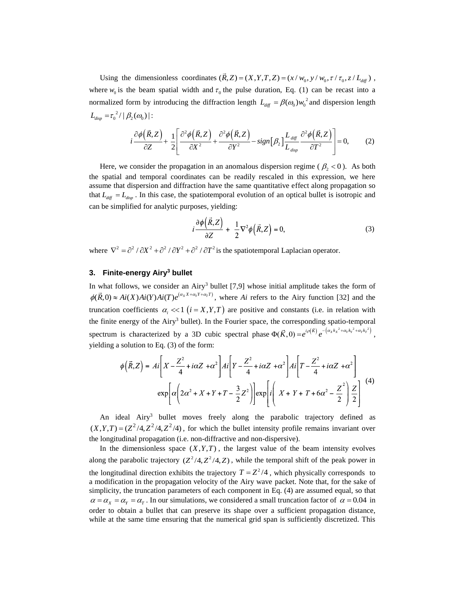Using the dimensionless coordinates  $(\vec{R}, Z) = (X, Y, T, Z) = (x / w_0, y / w_0, \tau / \tau_0, z / L_{diff})$ , where  $w_0$  is the beam spatial width and  $\tau_0$  the pulse duration, Eq. (1) can be recast into a normalized form by introducing the diffraction length  $L_{diff} = \beta(\omega_0) w_0^2$  and dispersion length  $L_{disp} = \tau_0^2 / | \beta_2(\omega_0) |$ :

$$
\frac{\partial \phi(\vec{R},Z)}{\partial Z} + \frac{1}{2} \left[ \frac{\partial^2 \phi(\vec{R},Z)}{\partial X^2} + \frac{\partial^2 \phi(\vec{R},Z)}{\partial Y^2} - sign[\beta_2] \frac{L_{diff}}{L_{disp}} \frac{\partial^2 \phi(\vec{R},Z)}{\partial T^2} \right] = 0, \quad (2)
$$

Here, we consider the propagation in an anomalous dispersion regime ( $\beta_2 < 0$ ). As both the spatial and temporal coordinates can be readily rescaled in this expression, we here assume that dispersion and diffraction have the same quantitative effect along propagation so that  $L_{\text{diff}} = L_{\text{disp}}$ . In this case, the spatiotemporal evolution of an optical bullet is isotropic and can be simplified for analytic purposes, yielding:

$$
i\frac{\partial\phi(\vec{R},Z)}{\partial Z} + \frac{1}{2}\nabla^2\phi(\vec{R},Z) = 0,
$$
\n(3)

where  $\nabla^2 = \partial^2 / \partial X^2 + \partial^2 / \partial Y^2 + \partial^2 / \partial T^2$  is the spatiotemporal Laplacian operator.

#### **3. Finite-energy Airy<sup>3</sup> bullet**

In what follows, we consider an Airy<sup>3</sup> bullet  $[7,9]$  whose initial amplitude takes the form of  $(\alpha_X X + \alpha_Y Y + \alpha_T T)$ In what follows, we consider an Airy<sup>3</sup> builet [*1*,9] whose initial amplitude takes the form of  $\phi(\vec{R},0) \approx Ai(X)Ai(Y)Ai(T)e^{(\alpha_X X + \alpha_Y Y + \alpha_T T)}$ , where *Ai* refers to the Airy function [32] and the truncation coefficients  $\alpha_i \ll 1$  ( $i = X, Y, T$ ) are positive and constants (i.e. in relation with the finite energy of the Airy<sup>3</sup> bullet). In the Fourier space, the corresponding spatio-temporal spectrum is characterized by a 3D cubic spectral phase  $\Phi(\vec{K},0) = e^{i\rho(\vec{K})} e^{-\left(\alpha_x k_x^2 + \alpha_y k_y^2 + \alpha_y k_z^2\right)}$ , yielding a solution to Eq. (3) of the form:

$$
\phi\left(\vec{R},Z\right) = Ai\left[X - \frac{Z^2}{4} + i\alpha Z + \alpha^2\right]Ai\left[Y - \frac{Z^2}{4} + i\alpha Z + \alpha^2\right]Ai\left[T - \frac{Z^2}{4} + i\alpha Z + \alpha^2\right]
$$

$$
\exp\left[\alpha\left(2\alpha^2 + X + Y + T - \frac{3}{2}Z^2\right)\right]\exp\left[i\left(X + Y + T + 6\alpha^2 - \frac{Z^2}{2}\right)\frac{Z}{2}\right] \tag{4}
$$

An ideal Airy<sup>3</sup> bullet moves freely along the parabolic trajectory defined as  $(X,Y,T) = (Z^2/4,Z^2/4,Z^2/4)$ , for which the bullet intensity profile remains invariant over the longitudinal propagation (i.e. non-diffractive and non-dispersive).

In the dimensionless space  $(X, Y, T)$ , the largest value of the beam intensity evolves along the parabolic trajectory  $(Z^2/4, Z^2/4, Z)$ , while the temporal shift of the peak power in the longitudinal direction exhibits the trajectory  $T = Z^2/4$ , which physically corresponds to a modification in the propagation velocity of the Airy wave packet. Note that, for the sake of simplicity, the truncation parameters of each component in Eq. (4) are assumed equal, so that  $\alpha = \alpha_x = \alpha_y = \alpha_\tau$ . In our simulations, we considered a small truncation factor of  $\alpha = 0.04$  in order to obtain a bullet that can preserve its shape over a sufficient propagation distance, while at the same time ensuring that the numerical grid span is sufficiently discretized. This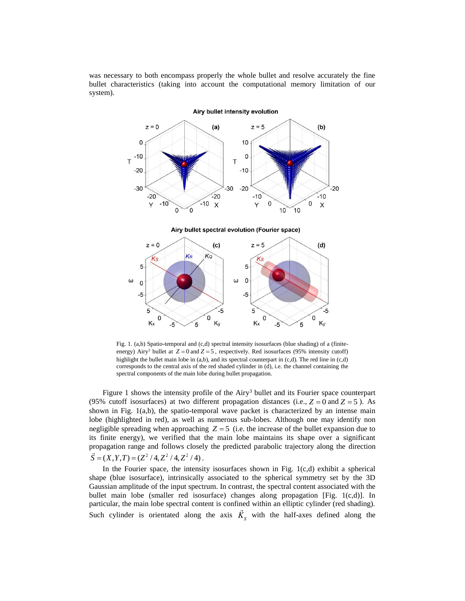was necessary to both encompass properly the whole bullet and resolve accurately the fine bullet characteristics (taking into account the computational memory limitation of our system).



Fig. 1. (a,b) Spatio-temporal and (c,d) spectral intensity isosurfaces (blue shading) of a (finiteenergy) Airy<sup>3</sup> bullet at  $Z = 0$  and  $Z = 5$ , respectively. Red isosurfaces (95% intensity cutoff) highlight the bullet main lobe in (a,b), and its spectral counterpart in (c,d). The red line in (c,d) corresponds to the central axis of the red shaded cylinder in (d), i.e. the channel containing the spectral components of the main lobe during bullet propagation.

Figure 1 shows the intensity profile of the  $Airy<sup>3</sup>$  bullet and its Fourier space counterpart (95% cutoff isosurfaces) at two different propagation distances (i.e.,  $Z = 0$  and  $Z = 5$ ). As shown in Fig. 1(a,b), the spatio-temporal wave packet is characterized by an intense main lobe (highlighted in red), as well as numerous sub-lobes. Although one may identify non negligible spreading when approaching  $Z = 5$  (i.e. the increase of the bullet expansion due to its finite energy), we verified that the main lobe maintains its shape over a significant propagation range and follows closely the predicted parabolic trajectory along the direction  $\vec{S} = (X, Y, T) = (Z^2 / 4, Z^2 / 4, Z^2 / 4)$ .

In the Fourier space, the intensity isosurfaces shown in Fig. 1(c,d) exhibit a spherical shape (blue isosurface), intrinsically associated to the spherical symmetry set by the 3D Gaussian amplitude of the input spectrum. In contrast, the spectral content associated with the bullet main lobe (smaller red isosurface) changes along propagation [Fig. 1(c,d)]. In particular, the main lobe spectral content is confined within an elliptic cylinder (red shading). Such cylinder is orientated along the axis  $\vec{K}_{s}$  with the half-axes defined along the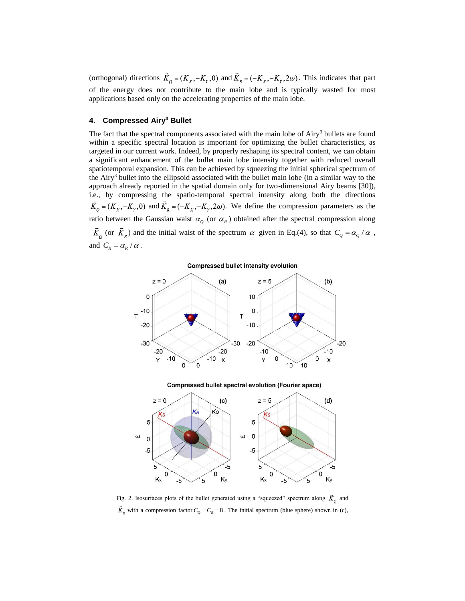(orthogonal) directions  $\vec{K}_o = (K_x, -K_y, 0)$  and  $\vec{K}_g = (-K_x, -K_y, 2\omega)$ . This indicates that part of the energy does not contribute to the main lobe and is typically wasted for most applications based only on the accelerating properties of the main lobe.

#### **4. Compressed Airy<sup>3</sup> Bullet**

The fact that the spectral components associated with the main lobe of Airy<sup>3</sup> bullets are found within a specific spectral location is important for optimizing the bullet characteristics, as targeted in our current work. Indeed, by properly reshaping its spectral content, we can obtain a significant enhancement of the bullet main lobe intensity together with reduced overall spatiotemporal expansion. This can be achieved by squeezing the initial spherical spectrum of the Airy<sup>3</sup> bullet into the ellipsoid associated with the bullet main lobe (in a similar way to the approach already reported in the spatial domain only for two-dimensional Airy beams [30]), i.e., by compressing the spatio-temporal spectral intensity along both the directions  $\vec{K}_Q = (K_X, -K_Y, 0)$  and  $\vec{K}_R = (-K_X, -K_Y, 2\omega)$ . We define the compression parameters as the ratio between the Gaussian waist  $\alpha_{\varrho}$  (or  $\alpha_{\kappa}$ ) obtained after the spectral compression along (or  $\vec{K}_R$ ) and the initial waist of the spectrum  $\alpha$  given in Eq.(4), so that  $C_Q = \alpha_Q / \alpha$ , and  $C_R = \alpha_R / \alpha$ .

**Compressed bullet intensity evolution** 



**Compressed bullet spectral evolution (Fourier space)** 



Fig. 2. Isosurfaces plots of the bullet generated using a "squeezed" spectrum along  $\vec{K}_o$  and with a compression factor  $C_Q = C_R = 8$ . The initial spectrum (blue sphere) shown in (c),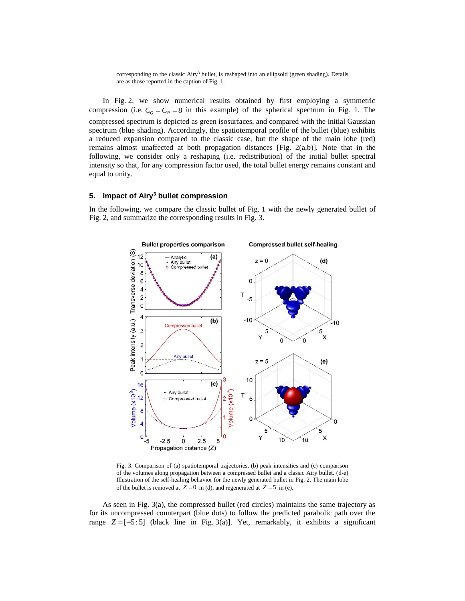corresponding to the classic Airy<sup>3</sup> bullet, is reshaped into an ellipsoid (green shading). Details are as those reported in the caption of Fig. 1.

In Fig. 2, we show numerical results obtained by first employing a symmetric compression (i.e.  $C_Q = C_R = 8$  in this example) of the spherical spectrum in Fig. 1. The compressed spectrum is depicted as green isosurfaces, and compared with the initial Gaussian spectrum (blue shading). Accordingly, the spatiotemporal profile of the bullet (blue) exhibits a reduced expansion compared to the classic case, but the shape of the main lobe (red) remains almost unaffected at both propagation distances [Fig. 2(a,b)]. Note that in the following, we consider only a reshaping (i.e. redistribution) of the initial bullet spectral intensity so that, for any compression factor used, the total bullet energy remains constant and equal to unity.

### **5. Impact of Airy<sup>3</sup> bullet compression**

In the following, we compare the classic bullet of Fig. 1 with the newly generated bullet of Fig. 2, and summarize the corresponding results in Fig. 3.



Fig. 3. Comparison of (a) spatiotemporal trajectories, (b) peak intensities and (c) comparison of the volumes along propagation between a compressed bullet and a classic Airy bullet. (d-e) Illustration of the self-healing behavior for the newly generated bullet in Fig. 2. The main lobe of the bullet is removed at  $Z = 0$  in (d), and regenerated at  $Z = 5$  in (e).

As seen in Fig. 3(a), the compressed bullet (red circles) maintains the same trajectory as for its uncompressed counterpart (blue dots) to follow the predicted parabolic path over the range  $Z = [-5:5]$  (black line in Fig. 3(a)]. Yet, remarkably, it exhibits a significant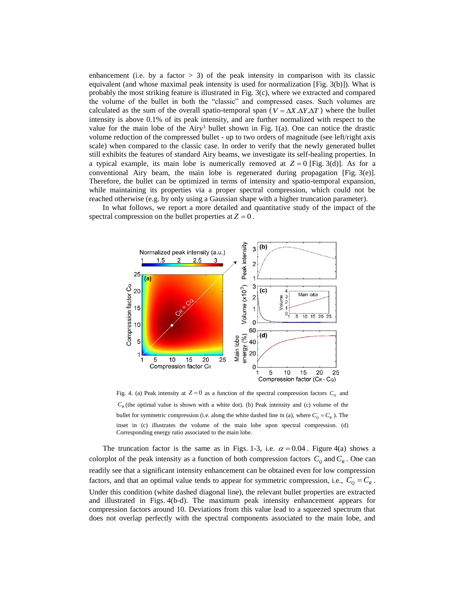enhancement (i.e. by a factor  $> 3$ ) of the peak intensity in comparison with its classic equivalent (and whose maximal peak intensity is used for normalization [Fig. 3(b)]). What is probably the most striking feature is illustrated in Fig. 3(c), where we extracted and compared the volume of the bullet in both the "classic" and compressed cases. Such volumes are calculated as the sum of the overall spatio-temporal span ( $V = \Delta X \Delta Y \Delta T$ ) where the bullet intensity is above 0.1% of its peak intensity, and are further normalized with respect to the value for the main lobe of the Airy<sup>3</sup> bullet shown in Fig. 1(a). One can notice the drastic volume reduction of the compressed bullet - up to two orders of magnitude (see left/right axis scale) when compared to the classic case. In order to verify that the newly generated bullet still exhibits the features of standard Airy beams, we investigate its self-healing properties. In a typical example, its main lobe is numerically removed at  $Z = 0$  [Fig. 3(d)]. As for a conventional Airy beam, the main lobe is regenerated during propagation [Fig. 3(e)]. Therefore, the bullet can be optimized in terms of intensity and spatio-temporal expansion, while maintaining its properties via a proper spectral compression, which could not be reached otherwise (e.g. by only using a Gaussian shape with a higher truncation parameter).

In what follows, we report a more detailed and quantitative study of the impact of the spectral compression on the bullet properties at  $Z = 0$ .



Fig. 4. (a) Peak intensity at  $Z = 0$  as a function of the spectral compression factors  $C_q$  and  $C_R$  (the optimal value is shown with a white dot). (b) Peak intensity and (c) volume of the bullet for symmetric compression (i.e. along the white dashed line in (a), where  $C_Q = C_R$ ). The inset in (c) illustrates the volume of the main lobe upon spectral compression. (d) Corresponding energy ratio associated to the main lobe.

The truncation factor is the same as in Figs. 1-3, i.e.  $\alpha = 0.04$ . Figure 4(a) shows a colorplot of the peak intensity as a function of both compression factors  $C_q$  and  $C_R$ . One can readily see that a significant intensity enhancement can be obtained even for low compression factors, and that an optimal value tends to appear for symmetric compression, i.e.,  $C_Q = C_R$ . Under this condition (white dashed diagonal line), the relevant bullet properties are extracted and illustrated in Figs. 4(b-d). The maximum peak intensity enhancement appears for compression factors around 10. Deviations from this value lead to a squeezed spectrum that does not overlap perfectly with the spectral components associated to the main lobe, and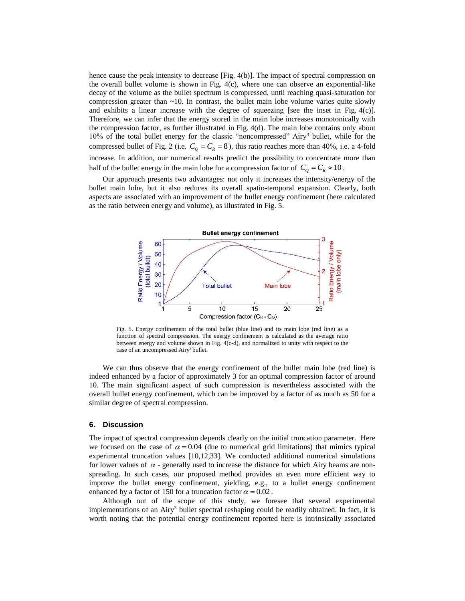hence cause the peak intensity to decrease [Fig. 4(b)]. The impact of spectral compression on the overall bullet volume is shown in Fig. 4(c), where one can observe an exponential-like decay of the volume as the bullet spectrum is compressed, until reaching quasi-saturation for compression greater than  $\sim$ 10. In contrast, the bullet main lobe volume varies quite slowly and exhibits a linear increase with the degree of squeezing [see the inset in Fig.  $4(c)$ ]. Therefore, we can infer that the energy stored in the main lobe increases monotonically with the compression factor, as further illustrated in Fig. 4(d). The main lobe contains only about 10% of the total bullet energy for the classic "noncompressed" Airy<sup>3</sup> bullet, while for the compressed bullet of Fig. 2 (i.e.  $C_Q = C_R = 8$ ), this ratio reaches more than 40%, i.e. a 4-fold increase. In addition, our numerical results predict the possibility to concentrate more than half of the bullet energy in the main lobe for a compression factor of  $C_Q = C_R \approx 10$ .

Our approach presents two advantages: not only it increases the intensity/energy of the bullet main lobe, but it also reduces its overall spatio-temporal expansion. Clearly, both aspects are associated with an improvement of the bullet energy confinement (here calculated as the ratio between energy and volume), as illustrated in Fig. 5.



Fig. 5. Energy confinement of the total bullet (blue line) and its main lobe (red line) as a function of spectral compression. The energy confinement is calculated as the average ratio between energy and volume shown in Fig. 4(c-d), and normalized to unity with respect to the case of an uncompressed Airy<sup>3</sup> bullet.

We can thus observe that the energy confinement of the bullet main lobe (red line) is indeed enhanced by a factor of approximately 3 for an optimal compression factor of around 10. The main significant aspect of such compression is nevertheless associated with the overall bullet energy confinement, which can be improved by a factor of as much as 50 for a similar degree of spectral compression.

#### **6. Discussion**

The impact of spectral compression depends clearly on the initial truncation parameter. Here we focused on the case of  $\alpha = 0.04$  (due to numerical grid limitations) that mimics typical experimental truncation values [10,12,33]. We conducted additional numerical simulations for lower values of  $\alpha$  - generally used to increase the distance for which Airy beams are nonspreading. In such cases, our proposed method provides an even more efficient way to improve the bullet energy confinement, yielding, e.g., to a bullet energy confinement enhanced by a factor of 150 for a truncation factor  $\alpha = 0.02$ .

Although out of the scope of this study, we foresee that several experimental implementations of an Airy<sup>3</sup> bullet spectral reshaping could be readily obtained. In fact, it is worth noting that the potential energy confinement reported here is intrinsically associated